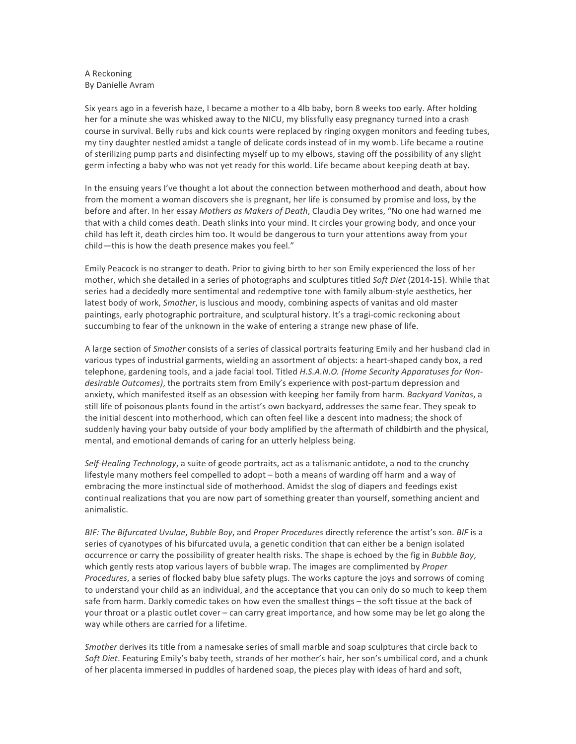## A Reckoning By Danielle Avram

Six years ago in a feverish haze, I became a mother to a 4lb baby, born 8 weeks too early. After holding her for a minute she was whisked away to the NICU, my blissfully easy pregnancy turned into a crash course in survival. Belly rubs and kick counts were replaced by ringing oxygen monitors and feeding tubes, my tiny daughter nestled amidst a tangle of delicate cords instead of in my womb. Life became a routine of sterilizing pump parts and disinfecting myself up to my elbows, staving off the possibility of any slight germ infecting a baby who was not yet ready for this world. Life became about keeping death at bay.

In the ensuing years I've thought a lot about the connection between motherhood and death, about how from the moment a woman discovers she is pregnant, her life is consumed by promise and loss, by the before and after. In her essay *Mothers as Makers of Death*, Claudia Dey writes, "No one had warned me that with a child comes death. Death slinks into your mind. It circles your growing body, and once your child has left it, death circles him too. It would be dangerous to turn your attentions away from your child-this is how the death presence makes you feel."

Emily Peacock is no stranger to death. Prior to giving birth to her son Emily experienced the loss of her mother, which she detailed in a series of photographs and sculptures titled *Soft Diet* (2014-15). While that series had a decidedly more sentimental and redemptive tone with family album-style aesthetics, her latest body of work, *Smother*, is luscious and moody, combining aspects of vanitas and old master paintings, early photographic portraiture, and sculptural history. It's a tragi-comic reckoning about succumbing to fear of the unknown in the wake of entering a strange new phase of life.

A large section of *Smother* consists of a series of classical portraits featuring Emily and her husband clad in various types of industrial garments, wielding an assortment of objects: a heart-shaped candy box, a red telephone, gardening tools, and a jade facial tool. Titled H.S.A.N.O. (Home Security Apparatuses for Nondesirable Outcomes), the portraits stem from Emily's experience with post-partum depression and anxiety, which manifested itself as an obsession with keeping her family from harm. *Backyard Vanitas*, a still life of poisonous plants found in the artist's own backyard, addresses the same fear. They speak to the initial descent into motherhood, which can often feel like a descent into madness; the shock of suddenly having your baby outside of your body amplified by the aftermath of childbirth and the physical, mental, and emotional demands of caring for an utterly helpless being.

Self-Healing Technology, a suite of geode portraits, act as a talismanic antidote, a nod to the crunchy lifestyle many mothers feel compelled to adopt – both a means of warding off harm and a way of embracing the more instinctual side of motherhood. Amidst the slog of diapers and feedings exist continual realizations that you are now part of something greater than yourself, something ancient and animalistic.

*BIF:* The Bifurcated Uvulae, Bubble Boy, and Proper Procedures directly reference the artist's son. BIF is a series of cyanotypes of his bifurcated uvula, a genetic condition that can either be a benign isolated occurrence or carry the possibility of greater health risks. The shape is echoed by the fig in *Bubble Boy*, which gently rests atop various layers of bubble wrap. The images are complimented by *Proper Procedures*, a series of flocked baby blue safety plugs. The works capture the joys and sorrows of coming to understand your child as an individual, and the acceptance that you can only do so much to keep them safe from harm. Darkly comedic takes on how even the smallest things - the soft tissue at the back of your throat or a plastic outlet cover – can carry great importance, and how some may be let go along the way while others are carried for a lifetime.

*Smother* derives its title from a namesake series of small marble and soap sculptures that circle back to Soft Diet. Featuring Emily's baby teeth, strands of her mother's hair, her son's umbilical cord, and a chunk of her placenta immersed in puddles of hardened soap, the pieces play with ideas of hard and soft,